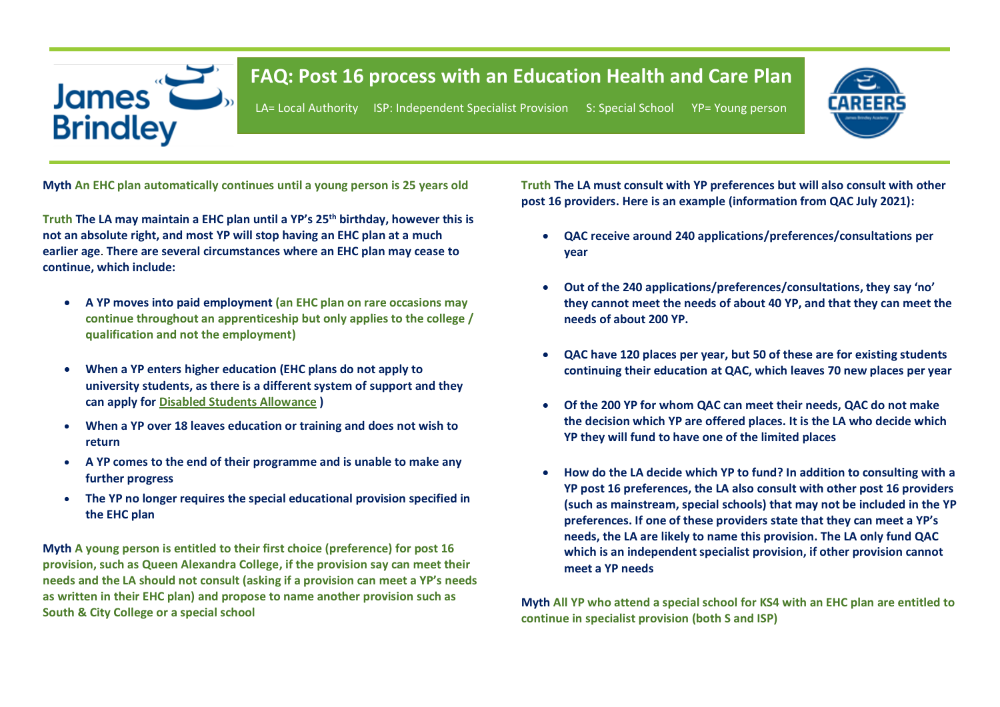# James 2 **Brindley**

## **FAQ: Post 16 process with an Education Health and Care Plan**

LA= Local Authority ISP: Independent Specialist Provision S: Special School YP= Young person



**Myth An EHC plan automatically continues until a young person is 25 years old**

**Truth The LA may maintain a EHC plan until a YP's 25th birthday, however this is not an absolute right, and most YP will stop having an EHC plan at a much earlier age**. **There are several circumstances where an EHC plan may cease to continue, which include:**

- **A YP moves into paid employment (an EHC plan on rare occasions may continue throughout an apprenticeship but only applies to the college / qualification and not the employment)**
- **When a YP enters higher education (EHC plans do not apply to university students, as there is a different system of support and they can apply for [Disabled Students Allowance](https://www.gov.uk/disabled-students-allowance-dsa/how-to-claim) )**
- **When a YP over 18 leaves education or training and does not wish to return**
- **A YP comes to the end of their programme and is unable to make any further progress**
- **The YP no longer requires the special educational provision specified in the EHC plan**

**Myth A young person is entitled to their first choice (preference) for post 16 provision, such as Queen Alexandra College, if the provision say can meet their needs and the LA should not consult (asking if a provision can meet a YP's needs as written in their EHC plan) and propose to name another provision such as South & City College or a special school**

**Truth The LA must consult with YP preferences but will also consult with other post 16 providers. Here is an example (information from QAC July 2021):**

- **QAC receive around 240 applications/preferences/consultations per year**
- **Out of the 240 applications/preferences/consultations, they say 'no' they cannot meet the needs of about 40 YP, and that they can meet the needs of about 200 YP.**
- **QAC have 120 places per year, but 50 of these are for existing students continuing their education at QAC, which leaves 70 new places per year**
- **Of the 200 YP for whom QAC can meet their needs, QAC do not make the decision which YP are offered places. It is the LA who decide which YP they will fund to have one of the limited places**
- **How do the LA decide which YP to fund? In addition to consulting with a YP post 16 preferences, the LA also consult with other post 16 providers (such as mainstream, special schools) that may not be included in the YP preferences. If one of these providers state that they can meet a YP's needs, the LA are likely to name this provision. The LA only fund QAC which is an independent specialist provision, if other provision cannot meet a YP needs**

**Myth All YP who attend a special school for KS4 with an EHC plan are entitled to continue in specialist provision (both S and ISP)**